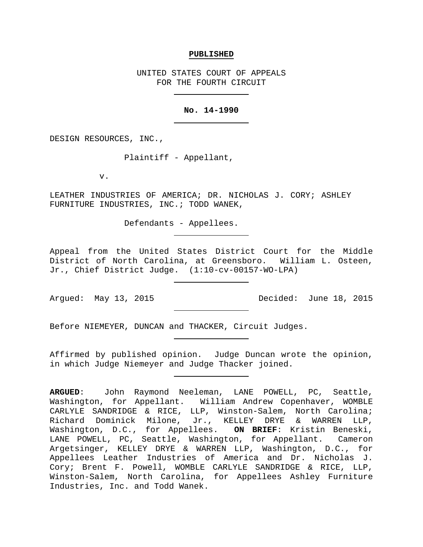#### **PUBLISHED**

UNITED STATES COURT OF APPEALS FOR THE FOURTH CIRCUIT

### **No. 14-1990**

DESIGN RESOURCES, INC.,

Plaintiff - Appellant,

v.

LEATHER INDUSTRIES OF AMERICA; DR. NICHOLAS J. CORY; ASHLEY FURNITURE INDUSTRIES, INC.; TODD WANEK,

Defendants - Appellees.

Appeal from the United States District Court for the Middle District of North Carolina, at Greensboro. William L. Osteen, Jr., Chief District Judge. (1:10-cv-00157-WO-LPA)

Argued: May 13, 2015 Decided: June 18, 2015

Before NIEMEYER, DUNCAN and THACKER, Circuit Judges.

Affirmed by published opinion. Judge Duncan wrote the opinion, in which Judge Niemeyer and Judge Thacker joined.

**ARGUED**: John Raymond Neeleman, LANE POWELL, PC, Seattle, Washington, for Appellant. William Andrew Copenhaver, WOMBLE CARLYLE SANDRIDGE & RICE, LLP, Winston-Salem, North Carolina; Richard Dominick Milone, Jr., KELLEY DRYE & WARREN LLP, Washington, D.C., for Appellees. **ON BRIEF**: Kristin Beneski, LANE POWELL, PC, Seattle, Washington, for Appellant. Cameron Argetsinger, KELLEY DRYE & WARREN LLP, Washington, D.C., for Appellees Leather Industries of America and Dr. Nicholas J. Cory; Brent F. Powell, WOMBLE CARLYLE SANDRIDGE & RICE, LLP, Winston-Salem, North Carolina, for Appellees Ashley Furniture Industries, Inc. and Todd Wanek.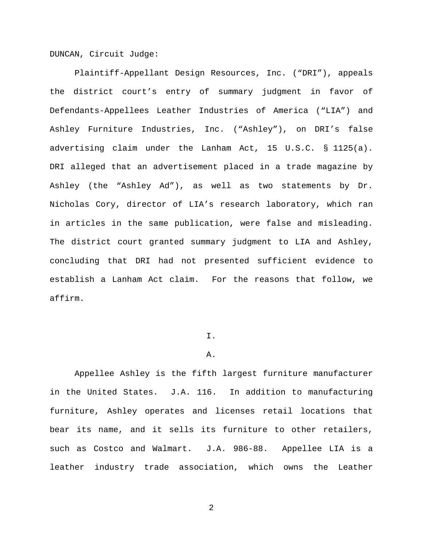DUNCAN, Circuit Judge:

Plaintiff-Appellant Design Resources, Inc. ("DRI"), appeals the district court's entry of summary judgment in favor of Defendants-Appellees Leather Industries of America ("LIA") and Ashley Furniture Industries, Inc. ("Ashley"), on DRI's false advertising claim under the Lanham Act, 15 U.S.C. § 1125(a). DRI alleged that an advertisement placed in a trade magazine by Ashley (the "Ashley Ad"), as well as two statements by Dr. Nicholas Cory, director of LIA's research laboratory, which ran in articles in the same publication, were false and misleading. The district court granted summary judgment to LIA and Ashley, concluding that DRI had not presented sufficient evidence to establish a Lanham Act claim. For the reasons that follow, we affirm.

# I.

#### A.

Appellee Ashley is the fifth largest furniture manufacturer in the United States. J.A. 116. In addition to manufacturing furniture, Ashley operates and licenses retail locations that bear its name, and it sells its furniture to other retailers, such as Costco and Walmart. J.A. 986-88. Appellee LIA is a leather industry trade association, which owns the Leather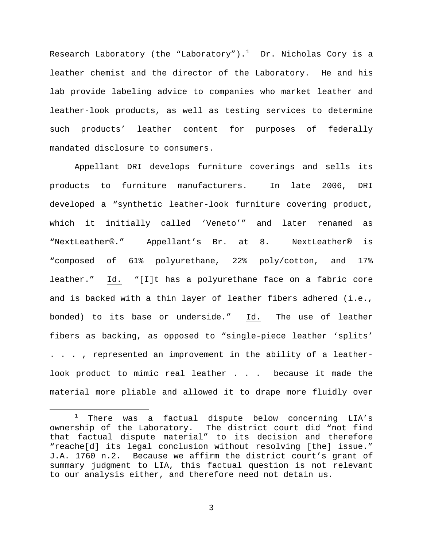Research Laboratory (the "Laboratory"). $^1$  $^1$  Dr. Nicholas Cory is a leather chemist and the director of the Laboratory. He and his lab provide labeling advice to companies who market leather and leather-look products, as well as testing services to determine such products' leather content for purposes of federally mandated disclosure to consumers.

Appellant DRI develops furniture coverings and sells its products to furniture manufacturers. In late 2006, DRI developed a "synthetic leather-look furniture covering product, which it initially called 'Veneto'" and later renamed as "NextLeather®." Appellant's Br. at 8. NextLeather® is "composed of 61% polyurethane, 22% poly/cotton, and 17% leather." Id. "[I]t has a polyurethane face on a fabric core and is backed with a thin layer of leather fibers adhered (i.e., bonded) to its base or underside." Id. The use of leather fibers as backing, as opposed to "single-piece leather 'splits' . . . , represented an improvement in the ability of a leatherlook product to mimic real leather . . . because it made the material more pliable and allowed it to drape more fluidly over

 $\overline{a}$ 

<span id="page-2-0"></span>There was a factual dispute below concerning LIA's ownership of the Laboratory. The district court did "not find that factual dispute material" to its decision and therefore "reache[d] its legal conclusion without resolving [the] issue." J.A. 1760 n.2. Because we affirm the district court's grant of summary judgment to LIA, this factual question is not relevant to our analysis either, and therefore need not detain us.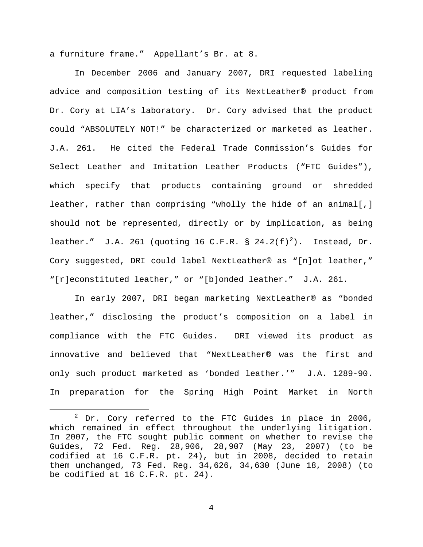a furniture frame." Appellant's Br. at 8.

In December 2006 and January 2007, DRI requested labeling advice and composition testing of its NextLeather® product from Dr. Cory at LIA's laboratory. Dr. Cory advised that the product could "ABSOLUTELY NOT!" be characterized or marketed as leather. J.A. 261. He cited the Federal Trade Commission's Guides for Select Leather and Imitation Leather Products ("FTC Guides"), which specify that products containing ground or shredded leather, rather than comprising "wholly the hide of an animal[,] should not be represented, directly or by implication, as being leather." J.A. [2](#page-3-0)61 (quoting 16 C.F.R. § 24.2(f)<sup>2</sup>). Instead, Dr. Cory suggested, DRI could label NextLeather® as "[n]ot leather," "[r]econstituted leather," or "[b]onded leather." J.A. 261.

In early 2007, DRI began marketing NextLeather® as "bonded leather," disclosing the product's composition on a label in compliance with the FTC Guides. DRI viewed its product as innovative and believed that "NextLeather® was the first and only such product marketed as 'bonded leather.'" J.A. 1289-90. In preparation for the Spring High Point Market in North

 $\overline{a}$ 

<span id="page-3-0"></span> $2$  Dr. Cory referred to the FTC Guides in place in 2006, which remained in effect throughout the underlying litigation. In 2007, the FTC sought public comment on whether to revise the Guides, 72 Fed. Reg. 28,906, 28,907 (May 23, 2007) (to be codified at 16 C.F.R. pt. 24), but in 2008, decided to retain them unchanged, 73 Fed. Reg. 34,626, 34,630 (June 18, 2008) (to be codified at 16 C.F.R. pt. 24).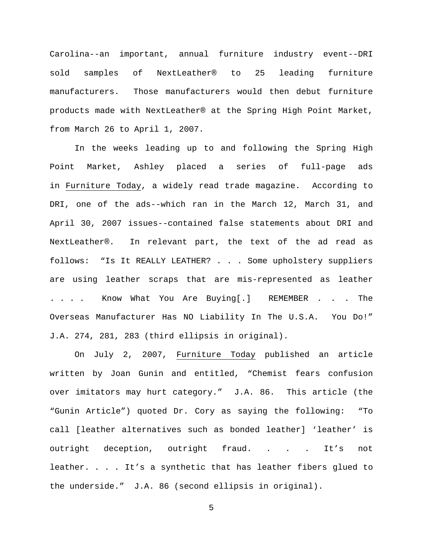Carolina--an important, annual furniture industry event--DRI sold samples of NextLeather® to 25 leading furniture manufacturers. Those manufacturers would then debut furniture products made with NextLeather® at the Spring High Point Market, from March 26 to April 1, 2007.

In the weeks leading up to and following the Spring High Point Market, Ashley placed a series of full-page ads in Furniture Today, a widely read trade magazine. According to DRI, one of the ads--which ran in the March 12, March 31, and April 30, 2007 issues--contained false statements about DRI and NextLeather®. In relevant part, the text of the ad read as follows: "Is It REALLY LEATHER? . . . Some upholstery suppliers are using leather scraps that are mis-represented as leather . . . . Know What You Are Buying[.] REMEMBER . . . The Overseas Manufacturer Has NO Liability In The U.S.A. You Do!" J.A. 274, 281, 283 (third ellipsis in original).

On July 2, 2007, Furniture Today published an article written by Joan Gunin and entitled, "Chemist fears confusion over imitators may hurt category." J.A. 86. This article (the "Gunin Article") quoted Dr. Cory as saying the following: "To call [leather alternatives such as bonded leather] 'leather' is outright deception, outright fraud. . . . It's not leather. . . . It's a synthetic that has leather fibers glued to the underside." J.A. 86 (second ellipsis in original).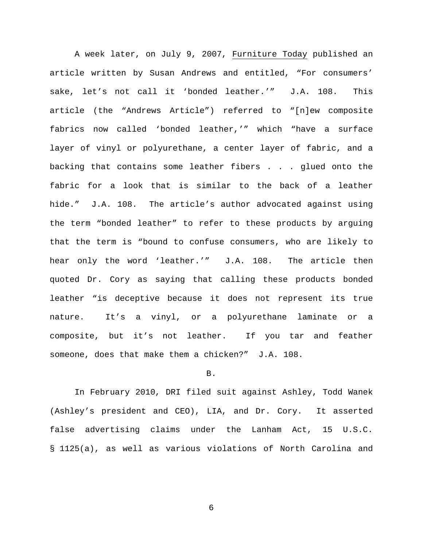A week later, on July 9, 2007, Furniture Today published an article written by Susan Andrews and entitled, "For consumers' sake, let's not call it 'bonded leather.'" J.A. 108. This article (the "Andrews Article") referred to "[n]ew composite fabrics now called 'bonded leather,'" which "have a surface layer of vinyl or polyurethane, a center layer of fabric, and a backing that contains some leather fibers . . . glued onto the fabric for a look that is similar to the back of a leather hide." J.A. 108. The article's author advocated against using the term "bonded leather" to refer to these products by arguing that the term is "bound to confuse consumers, who are likely to hear only the word 'leather.'" J.A. 108. The article then quoted Dr. Cory as saying that calling these products bonded leather "is deceptive because it does not represent its true nature. It's a vinyl, or a polyurethane laminate or a composite, but it's not leather. If you tar and feather someone, does that make them a chicken?" J.A. 108.

#### B.

In February 2010, DRI filed suit against Ashley, Todd Wanek (Ashley's president and CEO), LIA, and Dr. Cory. It asserted false advertising claims under the Lanham Act, 15 U.S.C. § 1125(a), as well as various violations of North Carolina and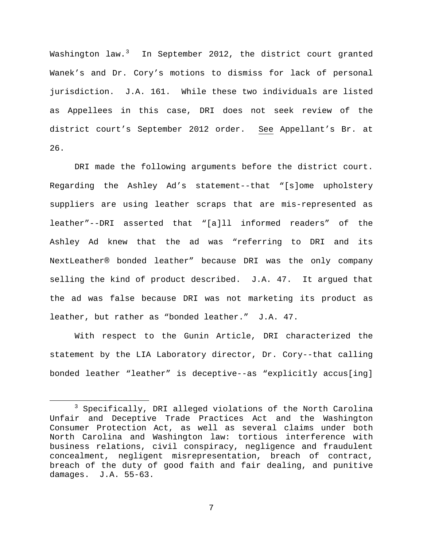Washington law.<sup>[3](#page-6-0)</sup> In September 2012, the district court granted Wanek's and Dr. Cory's motions to dismiss for lack of personal jurisdiction. J.A. 161. While these two individuals are listed as Appellees in this case, DRI does not seek review of the district court's September 2012 order. See Appellant's Br. at 26.

DRI made the following arguments before the district court. Regarding the Ashley Ad's statement--that "[s]ome upholstery suppliers are using leather scraps that are mis-represented as leather"--DRI asserted that "[a]ll informed readers" of the Ashley Ad knew that the ad was "referring to DRI and its NextLeather® bonded leather" because DRI was the only company selling the kind of product described. J.A. 47. It argued that the ad was false because DRI was not marketing its product as leather, but rather as "bonded leather." J.A. 47.

With respect to the Gunin Article, DRI characterized the statement by the LIA Laboratory director, Dr. Cory--that calling bonded leather "leather" is deceptive--as "explicitly accus[ing]

 $\overline{a}$ 

<span id="page-6-0"></span><sup>3</sup> Specifically, DRI alleged violations of the North Carolina Unfair and Deceptive Trade Practices Act and the Washington Consumer Protection Act, as well as several claims under both North Carolina and Washington law: tortious interference with business relations, civil conspiracy, negligence and fraudulent concealment, negligent misrepresentation, breach of contract, breach of the duty of good faith and fair dealing, and punitive damages. J.A. 55-63.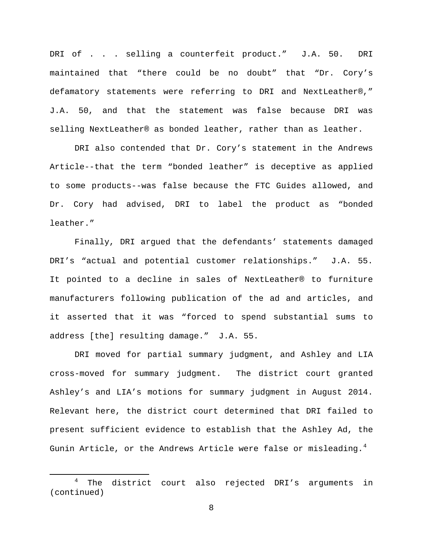DRI of . . . selling a counterfeit product." J.A. 50. DRI maintained that "there could be no doubt" that "Dr. Cory's defamatory statements were referring to DRI and NextLeather®," J.A. 50, and that the statement was false because DRI was selling NextLeather® as bonded leather, rather than as leather.

DRI also contended that Dr. Cory's statement in the Andrews Article--that the term "bonded leather" is deceptive as applied to some products--was false because the FTC Guides allowed, and Dr. Cory had advised, DRI to label the product as "bonded leather."

Finally, DRI argued that the defendants' statements damaged DRI's "actual and potential customer relationships." J.A. 55. It pointed to a decline in sales of NextLeather® to furniture manufacturers following publication of the ad and articles, and it asserted that it was "forced to spend substantial sums to address [the] resulting damage." J.A. 55.

DRI moved for partial summary judgment, and Ashley and LIA cross-moved for summary judgment. The district court granted Ashley's and LIA's motions for summary judgment in August 2014. Relevant here, the district court determined that DRI failed to present sufficient evidence to establish that the Ashley Ad, the Gunin Article, or the Andrews Article were false or misleading.<sup>[4](#page-7-0)</sup>

 $\overline{a}$ 

<span id="page-7-0"></span><sup>&</sup>lt;sup>4</sup> The district court also rejected DRI's arguments in (continued)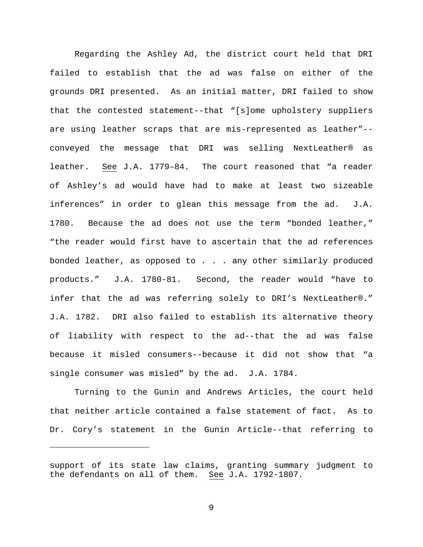Regarding the Ashley Ad, the district court held that DRI failed to establish that the ad was false on either of the grounds DRI presented. As an initial matter, DRI failed to show that the contested statement--that "[s]ome upholstery suppliers are using leather scraps that are mis-represented as leather"- conveyed the message that DRI was selling NextLeather® as leather. See J.A. 1779–84. The court reasoned that "a reader of Ashley's ad would have had to make at least two sizeable inferences" in order to glean this message from the ad. J.A. 1780. Because the ad does not use the term "bonded leather," "the reader would first have to ascertain that the ad references bonded leather, as opposed to . . . any other similarly produced products." J.A. 1780-81. Second, the reader would "have to infer that the ad was referring solely to DRI's NextLeather®." J.A. 1782. DRI also failed to establish its alternative theory of liability with respect to the ad--that the ad was false because it misled consumers--because it did not show that "a single consumer was misled" by the ad. J.A. 1784.

Turning to the Gunin and Andrews Articles, the court held that neither article contained a false statement of fact. As to Dr. Cory's statement in the Gunin Article--that referring to

 $\overline{a}$ 

support of its state law claims, granting summary judgment to the defendants on all of them. See J.A. 1792-1807.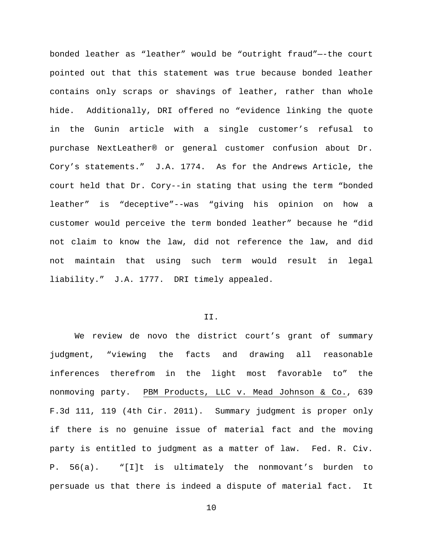bonded leather as "leather" would be "outright fraud"—-the court pointed out that this statement was true because bonded leather contains only scraps or shavings of leather, rather than whole hide. Additionally, DRI offered no "evidence linking the quote in the Gunin article with a single customer's refusal to purchase NextLeather® or general customer confusion about Dr. Cory's statements." J.A. 1774. As for the Andrews Article, the court held that Dr. Cory--in stating that using the term "bonded leather" is "deceptive"--was "giving his opinion on how a customer would perceive the term bonded leather" because he "did not claim to know the law, did not reference the law, and did not maintain that using such term would result in legal liability." J.A. 1777. DRI timely appealed.

#### II.

We review de novo the district court's grant of summary judgment, "viewing the facts and drawing all reasonable inferences therefrom in the light most favorable to" the nonmoving party. PBM Products, LLC v. Mead Johnson & Co., 639 F.3d 111, 119 (4th Cir. 2011). Summary judgment is proper only if there is no genuine issue of material fact and the moving party is entitled to judgment as a matter of law. Fed. R. Civ. P. 56(a). "[I]t is ultimately the nonmovant's burden to persuade us that there is indeed a dispute of material fact. It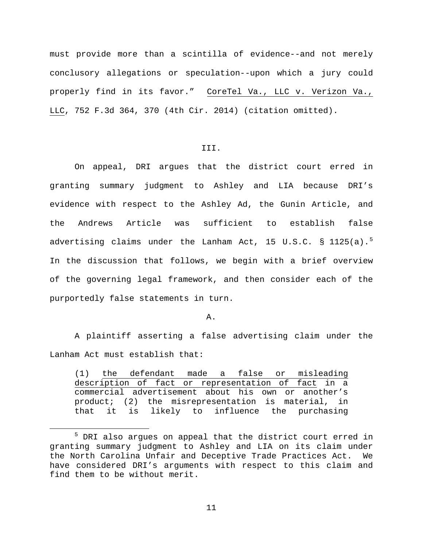must provide more than a scintilla of evidence--and not merely conclusory allegations or speculation--upon which a jury could properly find in its favor." CoreTel Va., LLC v. Verizon Va., LLC, 752 F.3d 364, 370 (4th Cir. 2014) (citation omitted).

## III.

On appeal, DRI argues that the district court erred in granting summary judgment to Ashley and LIA because DRI's evidence with respect to the Ashley Ad, the Gunin Article, and the Andrews Article was sufficient to establish false advertising claims under the Lanham Act, 1[5](#page-10-0) U.S.C. § 1125(a). $^{5}$ In the discussion that follows, we begin with a brief overview of the governing legal framework, and then consider each of the purportedly false statements in turn.

#### A.

A plaintiff asserting a false advertising claim under the Lanham Act must establish that:

(1) the defendant made a false or misleading description of fact or representation of fact in a commercial advertisement about his own or another's product; (2) the misrepresentation is material, in that it is likely to influence the purchasing

 $\overline{a}$ 

<span id="page-10-0"></span><sup>5</sup> DRI also argues on appeal that the district court erred in granting summary judgment to Ashley and LIA on its claim under the North Carolina Unfair and Deceptive Trade Practices Act. We have considered DRI's arguments with respect to this claim and find them to be without merit.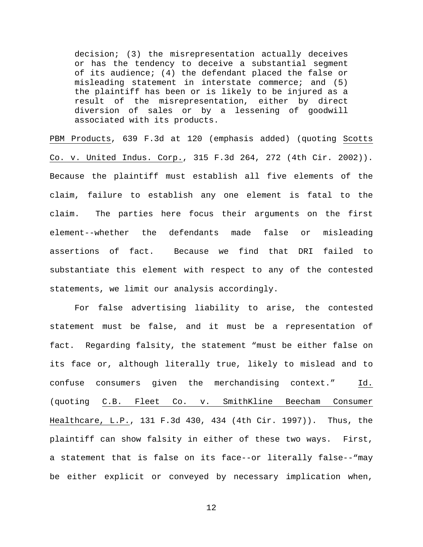decision; (3) the misrepresentation actually deceives or has the tendency to deceive a substantial segment of its audience; (4) the defendant placed the false or misleading statement in interstate commerce; and (5) the plaintiff has been or is likely to be injured as a result of the misrepresentation, either by direct diversion of sales or by a lessening of goodwill associated with its products.

PBM Products, 639 F.3d at 120 (emphasis added) (quoting Scotts Co. v. United Indus. Corp., 315 F.3d 264, 272 (4th Cir. 2002)). Because the plaintiff must establish all five elements of the claim, failure to establish any one element is fatal to the claim. The parties here focus their arguments on the first element--whether the defendants made false or misleading assertions of fact. Because we find that DRI failed to substantiate this element with respect to any of the contested statements, we limit our analysis accordingly.

For false advertising liability to arise, the contested statement must be false, and it must be a representation of fact. Regarding falsity, the statement "must be either false on its face or, although literally true, likely to mislead and to confuse consumers given the merchandising context." Id. (quoting C.B. Fleet Co. v. SmithKline Beecham Consumer Healthcare, L.P., 131 F.3d 430, 434 (4th Cir. 1997)). Thus, the plaintiff can show falsity in either of these two ways. First, a statement that is false on its face--or literally false--"may be either explicit or conveyed by necessary implication when,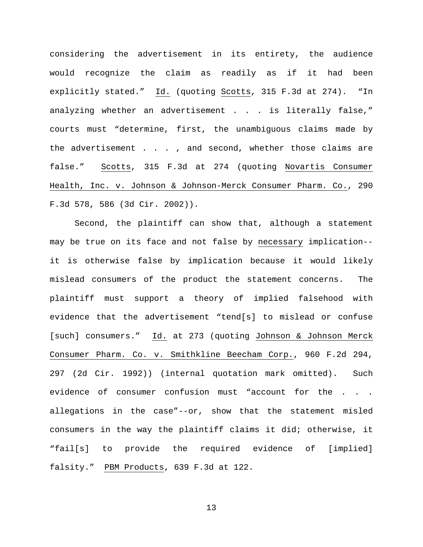considering the advertisement in its entirety, the audience would recognize the claim as readily as if it had been explicitly stated." Id. (quoting Scotts, 315 F.3d at 274). "In analyzing whether an advertisement . . . is literally false," courts must "determine, first, the unambiguous claims made by the advertisement . . . , and second, whether those claims are false." Scotts, 315 F.3d at 274 (quoting Novartis Consumer Health, Inc. v. Johnson & Johnson-Merck Consumer Pharm. Co., 290 F.3d 578, 586 (3d Cir. 2002)).

Second, the plaintiff can show that, although a statement may be true on its face and not false by necessary implication- it is otherwise false by implication because it would likely mislead consumers of the product the statement concerns. The plaintiff must support a theory of implied falsehood with evidence that the advertisement "tend[s] to mislead or confuse [such] consumers." Id. at 273 (quoting Johnson & Johnson Merck Consumer Pharm. Co. v. Smithkline Beecham Corp., 960 F.2d 294, 297 (2d Cir. 1992)) (internal quotation mark omitted). Such evidence of consumer confusion must "account for the . . . allegations in the case"--or, show that the statement misled consumers in the way the plaintiff claims it did; otherwise, it "fail[s] to provide the required evidence of [implied] falsity." PBM Products, 639 F.3d at 122.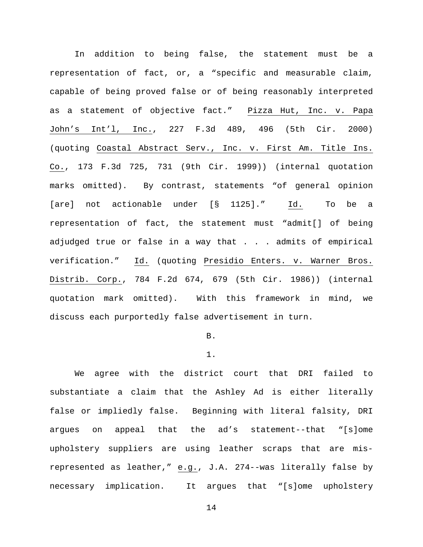In addition to being false, the statement must be a representation of fact, or, a "specific and measurable claim, capable of being proved false or of being reasonably interpreted as a statement of objective fact." Pizza Hut, Inc. v. Papa John's Int'l, Inc., 227 F.3d 489, 496 (5th Cir. 2000) (quoting Coastal Abstract Serv., Inc. v. First Am. Title Ins. Co., 173 F.3d 725, 731 (9th Cir. 1999)) (internal quotation marks omitted). By contrast, statements "of general opinion [are] not actionable under [§ 1125]." Id. To be a representation of fact, the statement must "admit[] of being adjudged true or false in a way that . . . admits of empirical verification." Id. (quoting Presidio Enters. v. Warner Bros. Distrib. Corp., 784 F.2d 674, 679 (5th Cir. 1986)) (internal quotation mark omitted). With this framework in mind, we discuss each purportedly false advertisement in turn.

# B.

### 1.

We agree with the district court that DRI failed to substantiate a claim that the Ashley Ad is either literally false or impliedly false. Beginning with literal falsity, DRI argues on appeal that the ad's statement--that "[s]ome upholstery suppliers are using leather scraps that are misrepresented as leather," e.g., J.A. 274--was literally false by necessary implication. It argues that "[s]ome upholstery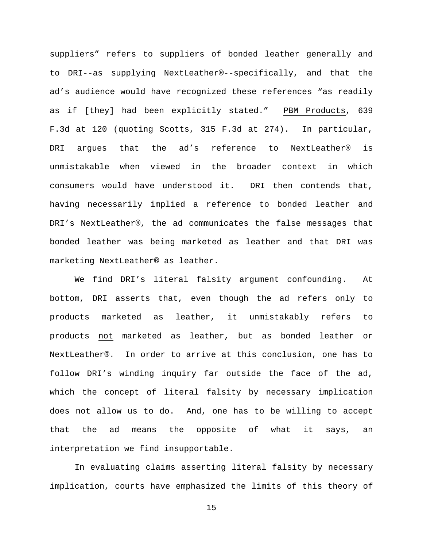suppliers" refers to suppliers of bonded leather generally and to DRI--as supplying NextLeather®--specifically, and that the ad's audience would have recognized these references "as readily as if [they] had been explicitly stated." PBM Products, 639 F.3d at 120 (quoting Scotts, 315 F.3d at 274). In particular, DRI argues that the ad's reference to NextLeather® is unmistakable when viewed in the broader context in which consumers would have understood it. DRI then contends that, having necessarily implied a reference to bonded leather and DRI's NextLeather®, the ad communicates the false messages that bonded leather was being marketed as leather and that DRI was marketing NextLeather® as leather.

We find DRI's literal falsity argument confounding. At bottom, DRI asserts that, even though the ad refers only to products marketed as leather, it unmistakably refers to products not marketed as leather, but as bonded leather or NextLeather®. In order to arrive at this conclusion, one has to follow DRI's winding inquiry far outside the face of the ad, which the concept of literal falsity by necessary implication does not allow us to do. And, one has to be willing to accept that the ad means the opposite of what it says, an interpretation we find insupportable.

In evaluating claims asserting literal falsity by necessary implication, courts have emphasized the limits of this theory of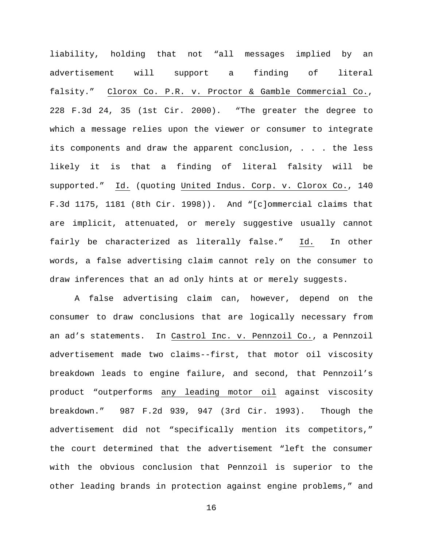liability, holding that not "all messages implied by an advertisement will support a finding of literal falsity." Clorox Co. P.R. v. Proctor & Gamble Commercial Co., 228 F.3d 24, 35 (1st Cir. 2000). "The greater the degree to which a message relies upon the viewer or consumer to integrate its components and draw the apparent conclusion, . . . the less likely it is that a finding of literal falsity will be supported." Id. (quoting United Indus. Corp. v. Clorox Co., 140 F.3d 1175, 1181 (8th Cir. 1998)). And "[c]ommercial claims that are implicit, attenuated, or merely suggestive usually cannot fairly be characterized as literally false." Id. In other words, a false advertising claim cannot rely on the consumer to draw inferences that an ad only hints at or merely suggests.

A false advertising claim can, however, depend on the consumer to draw conclusions that are logically necessary from an ad's statements. In Castrol Inc. v. Pennzoil Co., a Pennzoil advertisement made two claims--first, that motor oil viscosity breakdown leads to engine failure, and second, that Pennzoil's product "outperforms any leading motor oil against viscosity breakdown." 987 F.2d 939, 947 (3rd Cir. 1993). Though the advertisement did not "specifically mention its competitors," the court determined that the advertisement "left the consumer with the obvious conclusion that Pennzoil is superior to the other leading brands in protection against engine problems," and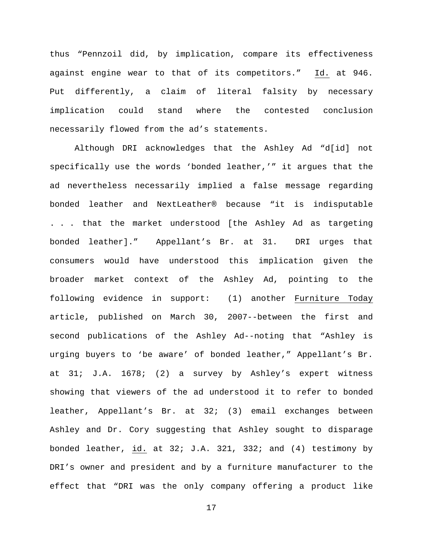thus "Pennzoil did, by implication, compare its effectiveness against engine wear to that of its competitors." Id. at 946. Put differently, a claim of literal falsity by necessary implication could stand where the contested conclusion necessarily flowed from the ad's statements.

Although DRI acknowledges that the Ashley Ad "d[id] not specifically use the words 'bonded leather,'" it argues that the ad nevertheless necessarily implied a false message regarding bonded leather and NextLeather® because "it is indisputable . . . that the market understood [the Ashley Ad as targeting bonded leather]." Appellant's Br. at 31. DRI urges that consumers would have understood this implication given the broader market context of the Ashley Ad, pointing to the following evidence in support: (1) another Furniture Today article, published on March 30, 2007--between the first and second publications of the Ashley Ad--noting that "Ashley is urging buyers to 'be aware' of bonded leather," Appellant's Br. at 31; J.A. 1678; (2) a survey by Ashley's expert witness showing that viewers of the ad understood it to refer to bonded leather, Appellant's Br. at 32; (3) email exchanges between Ashley and Dr. Cory suggesting that Ashley sought to disparage bonded leather, id. at  $32i$  J.A.  $321$ ,  $332i$  and  $(4)$  testimony by DRI's owner and president and by a furniture manufacturer to the effect that "DRI was the only company offering a product like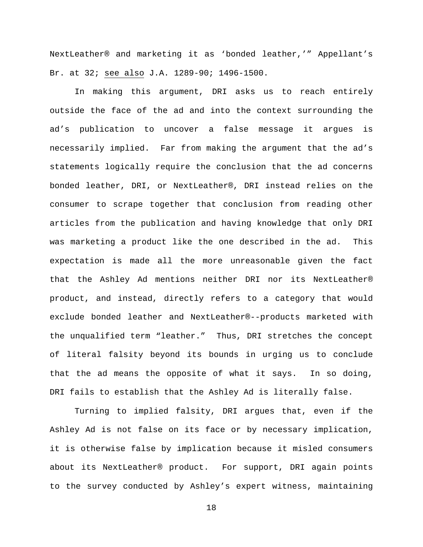NextLeather® and marketing it as 'bonded leather,'" Appellant's Br. at 32; see also J.A. 1289-90; 1496-1500.

In making this argument, DRI asks us to reach entirely outside the face of the ad and into the context surrounding the ad's publication to uncover a false message it argues is necessarily implied. Far from making the argument that the ad's statements logically require the conclusion that the ad concerns bonded leather, DRI, or NextLeather®, DRI instead relies on the consumer to scrape together that conclusion from reading other articles from the publication and having knowledge that only DRI was marketing a product like the one described in the ad. This expectation is made all the more unreasonable given the fact that the Ashley Ad mentions neither DRI nor its NextLeather® product, and instead, directly refers to a category that would exclude bonded leather and NextLeather®--products marketed with the unqualified term "leather." Thus, DRI stretches the concept of literal falsity beyond its bounds in urging us to conclude that the ad means the opposite of what it says. In so doing, DRI fails to establish that the Ashley Ad is literally false.

Turning to implied falsity, DRI argues that, even if the Ashley Ad is not false on its face or by necessary implication, it is otherwise false by implication because it misled consumers about its NextLeather® product. For support, DRI again points to the survey conducted by Ashley's expert witness, maintaining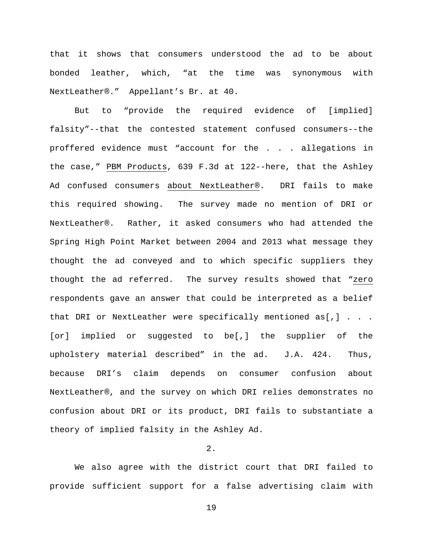that it shows that consumers understood the ad to be about bonded leather, which, "at the time was synonymous with NextLeather®." Appellant's Br. at 40.

But to "provide the required evidence of [implied] falsity"--that the contested statement confused consumers--the proffered evidence must "account for the . . . allegations in the case," PBM Products, 639 F.3d at 122--here, that the Ashley Ad confused consumers about NextLeather®. DRI fails to make this required showing. The survey made no mention of DRI or NextLeather®. Rather, it asked consumers who had attended the Spring High Point Market between 2004 and 2013 what message they thought the ad conveyed and to which specific suppliers they thought the ad referred. The survey results showed that "zero respondents gave an answer that could be interpreted as a belief that DRI or NextLeather were specifically mentioned  $as[,]$  . . . [or] implied or suggested to be[,] the supplier of the upholstery material described" in the ad. J.A. 424. Thus, because DRI's claim depends on consumer confusion about NextLeather®, and the survey on which DRI relies demonstrates no confusion about DRI or its product, DRI fails to substantiate a theory of implied falsity in the Ashley Ad.

# 2.

We also agree with the district court that DRI failed to provide sufficient support for a false advertising claim with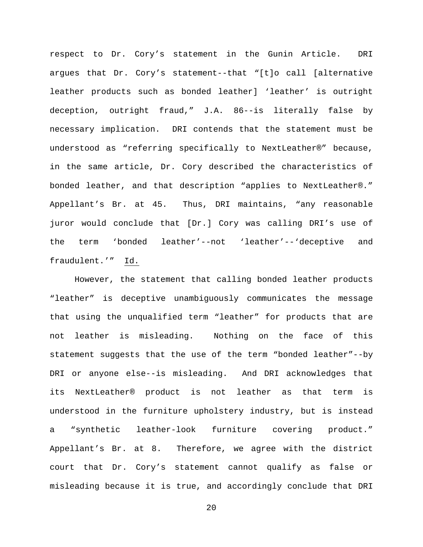respect to Dr. Cory's statement in the Gunin Article. DRI argues that Dr. Cory's statement--that "[t]o call [alternative leather products such as bonded leather] 'leather' is outright deception, outright fraud," J.A. 86--is literally false by necessary implication. DRI contends that the statement must be understood as "referring specifically to NextLeather®" because, in the same article, Dr. Cory described the characteristics of bonded leather, and that description "applies to NextLeather®." Appellant's Br. at 45. Thus, DRI maintains, "any reasonable juror would conclude that [Dr.] Cory was calling DRI's use of the term 'bonded leather'--not 'leather'--'deceptive and fraudulent.'" Id.

However, the statement that calling bonded leather products "leather" is deceptive unambiguously communicates the message that using the unqualified term "leather" for products that are not leather is misleading. Nothing on the face of this statement suggests that the use of the term "bonded leather"--by DRI or anyone else--is misleading. And DRI acknowledges that its NextLeather® product is not leather as that term is understood in the furniture upholstery industry, but is instead a "synthetic leather-look furniture covering product." Appellant's Br. at 8. Therefore, we agree with the district court that Dr. Cory's statement cannot qualify as false or misleading because it is true, and accordingly conclude that DRI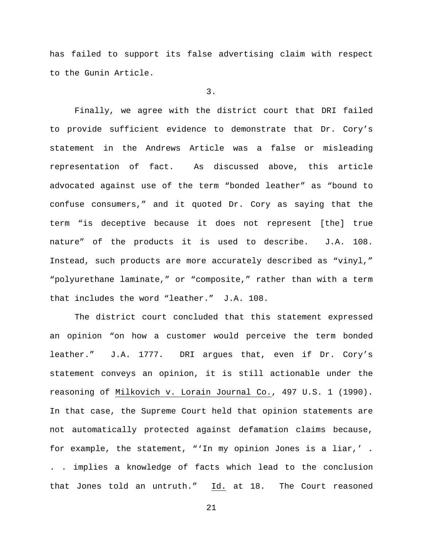has failed to support its false advertising claim with respect to the Gunin Article.

3.

Finally, we agree with the district court that DRI failed to provide sufficient evidence to demonstrate that Dr. Cory's statement in the Andrews Article was a false or misleading representation of fact. As discussed above, this article advocated against use of the term "bonded leather" as "bound to confuse consumers," and it quoted Dr. Cory as saying that the term "is deceptive because it does not represent [the] true nature" of the products it is used to describe. J.A. 108. Instead, such products are more accurately described as "vinyl," "polyurethane laminate," or "composite," rather than with a term that includes the word "leather." J.A. 108.

The district court concluded that this statement expressed an opinion "on how a customer would perceive the term bonded leather." J.A. 1777. DRI argues that, even if Dr. Cory's statement conveys an opinion, it is still actionable under the reasoning of Milkovich v. Lorain Journal Co., 497 U.S. 1 (1990). In that case, the Supreme Court held that opinion statements are not automatically protected against defamation claims because, for example, the statement, "'In my opinion Jones is a liar,' . . . implies a knowledge of facts which lead to the conclusion that Jones told an untruth." Id. at 18. The Court reasoned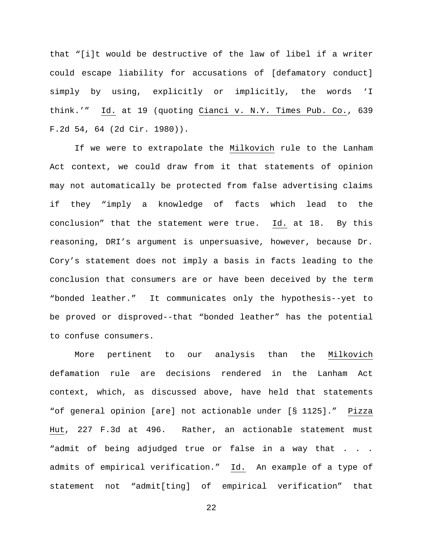that "[i]t would be destructive of the law of libel if a writer could escape liability for accusations of [defamatory conduct] simply by using, explicitly or implicitly, the words 'I think.'" Id. at 19 (quoting Cianci v. N.Y. Times Pub. Co., 639 F.2d 54, 64 (2d Cir. 1980)).

If we were to extrapolate the Milkovich rule to the Lanham Act context, we could draw from it that statements of opinion may not automatically be protected from false advertising claims if they "imply a knowledge of facts which lead to the conclusion" that the statement were true. Id. at 18. By this reasoning, DRI's argument is unpersuasive, however, because Dr. Cory's statement does not imply a basis in facts leading to the conclusion that consumers are or have been deceived by the term "bonded leather." It communicates only the hypothesis--yet to be proved or disproved--that "bonded leather" has the potential to confuse consumers.

More pertinent to our analysis than the Milkovich defamation rule are decisions rendered in the Lanham Act context, which, as discussed above, have held that statements "of general opinion [are] not actionable under [§ 1125]." Pizza Hut, 227 F.3d at 496. Rather, an actionable statement must "admit of being adjudged true or false in a way that . . . admits of empirical verification." Id. An example of a type of statement not "admit[ting] of empirical verification" that